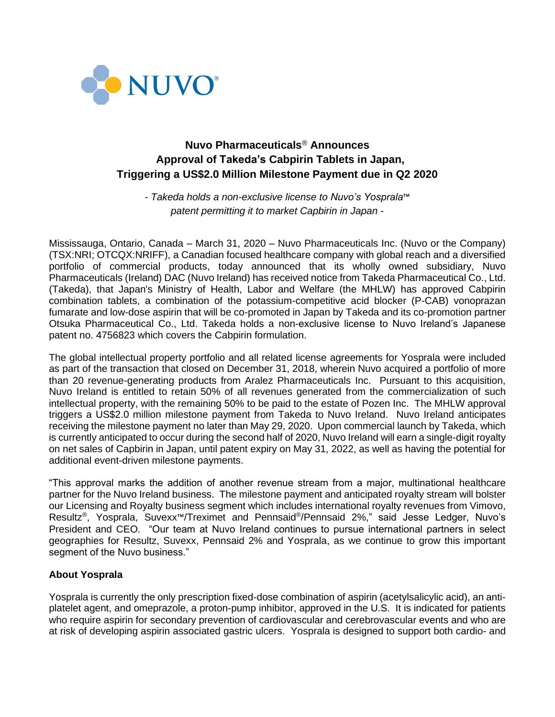

# **Nuvo Pharmaceuticals**® **Announces Approval of Takeda's Cabpirin Tablets in Japan, Triggering a US\$2.0 Million Milestone Payment due in Q2 2020**

*- Takeda holds a non-exclusive license to Nuvo's Yosprala*™ *patent permitting it to market Capbirin in Japan -*

Mississauga, Ontario, Canada – March 31, 2020 – Nuvo Pharmaceuticals Inc. (Nuvo or the Company) (TSX:NRI; OTCQX:NRIFF), a Canadian focused healthcare company with global reach and a diversified portfolio of commercial products, today announced that its wholly owned subsidiary, Nuvo Pharmaceuticals (Ireland) DAC (Nuvo Ireland) has received notice from Takeda Pharmaceutical Co., Ltd. (Takeda), that Japan's Ministry of Health, Labor and Welfare (the MHLW) has approved Cabpirin combination tablets, a combination of the potassium-competitive acid blocker (P-CAB) vonoprazan fumarate and low-dose aspirin that will be co-promoted in Japan by Takeda and its co-promotion partner Otsuka Pharmaceutical Co., Ltd. Takeda holds a non-exclusive license to Nuvo Ireland's Japanese patent no. 4756823 which covers the Cabpirin formulation.

The global intellectual property portfolio and all related license agreements for Yosprala were included as part of the transaction that closed on December 31, 2018, wherein Nuvo acquired a portfolio of more than 20 revenue-generating products from Aralez Pharmaceuticals Inc. Pursuant to this acquisition, Nuvo Ireland is entitled to retain 50% of all revenues generated from the commercialization of such intellectual property, with the remaining 50% to be paid to the estate of Pozen Inc. The MHLW approval triggers a US\$2.0 million milestone payment from Takeda to Nuvo Ireland. Nuvo Ireland anticipates receiving the milestone payment no later than May 29, 2020. Upon commercial launch by Takeda, which is currently anticipated to occur during the second half of 2020, Nuvo Ireland will earn a single-digit royalty on net sales of Capbirin in Japan, until patent expiry on May 31, 2022, as well as having the potential for additional event-driven milestone payments.

"This approval marks the addition of another revenue stream from a major, multinational healthcare partner for the Nuvo Ireland business. The milestone payment and anticipated royalty stream will bolster our Licensing and Royalty business segment which includes international royalty revenues from Vimovo, Resultz®, Yosprala, Suvexx™/Treximet and Pennsaid®/Pennsaid 2%," said Jesse Ledger, Nuvo's President and CEO. "Our team at Nuvo Ireland continues to pursue international partners in select geographies for Resultz, Suvexx, Pennsaid 2% and Yosprala, as we continue to grow this important segment of the Nuvo business."

# **About Yosprala**

Yosprala is currently the only prescription fixed-dose combination of aspirin (acetylsalicylic acid), an antiplatelet agent, and omeprazole, a proton-pump inhibitor, approved in the U.S. It is indicated for patients who require aspirin for secondary prevention of cardiovascular and cerebrovascular events and who are at risk of developing aspirin associated gastric ulcers. Yosprala is designed to support both cardio- and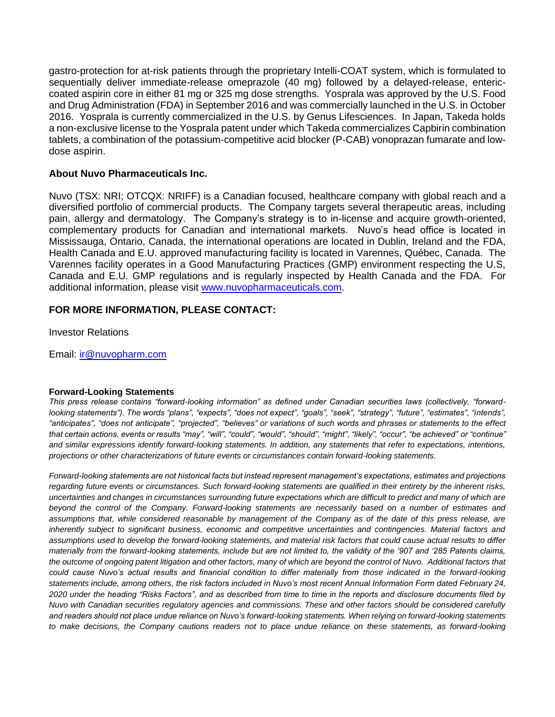gastro-protection for at-risk patients through the proprietary Intelli-COAT system, which is formulated to sequentially deliver immediate-release omeprazole (40 mg) followed by a delayed-release, entericcoated aspirin core in either 81 mg or 325 mg dose strengths. Yosprala was approved by the U.S. Food and Drug Administration (FDA) in September 2016 and was commercially launched in the U.S. in October 2016. Yosprala is currently commercialized in the U.S. by Genus Lifesciences. In Japan, Takeda holds a non-exclusive license to the Yosprala patent under which Takeda commercializes Capbirin combination tablets, a combination of the potassium-competitive acid blocker (P-CAB) vonoprazan fumarate and lowdose aspirin.

### **About Nuvo Pharmaceuticals Inc.**

Nuvo (TSX: NRI; OTCQX: NRIFF) is a Canadian focused, healthcare company with global reach and a diversified portfolio of commercial products. The Company targets several therapeutic areas, including pain, allergy and dermatology. The Company's strategy is to in-license and acquire growth-oriented, complementary products for Canadian and international markets. Nuvo's head office is located in Mississauga, Ontario, Canada, the international operations are located in Dublin, Ireland and the FDA, Health Canada and E.U. approved manufacturing facility is located in Varennes, Québec, Canada. The Varennes facility operates in a Good Manufacturing Practices (GMP) environment respecting the U.S, Canada and E.U. GMP regulations and is regularly inspected by Health Canada and the FDA. For additional information, please visit [www.nuvopharmaceuticals.com.](http://www.nuvopharmaceuticals.com/)

# **FOR MORE INFORMATION, PLEASE CONTACT:**

Investor Relations

Email: [ir@nuvopharm.com](mailto:ir@nuvopharm.com)

#### **Forward-Looking Statements**

*This press release contains "forward-looking information" as defined under Canadian securities laws (collectively, "forwardlooking statements"). The words "plans", "expects", "does not expect", "goals", "seek", "strategy", "future", "estimates", "intends", "anticipates", "does not anticipate", "projected", "believes" or variations of such words and phrases or statements to the effect that certain actions, events or results "may", "will", "could", "would", "should", "might", "likely", "occur", "be achieved" or "continue" and similar expressions identify forward-looking statements. In addition, any statements that refer to expectations, intentions, projections or other characterizations of future events or circumstances contain forward-looking statements.* 

*Forward-looking statements are not historical facts but instead represent management's expectations, estimates and projections regarding future events or circumstances. Such forward-looking statements are qualified in their entirety by the inherent risks, uncertainties and changes in circumstances surrounding future expectations which are difficult to predict and many of which are beyond the control of the Company. Forward-looking statements are necessarily based on a number of estimates and assumptions that, while considered reasonable by management of the Company as of the date of this press release, are*  inherently subject to significant business, economic and competitive uncertainties and contingencies. Material factors and *assumptions used to develop the forward-looking statements, and material risk factors that could cause actual results to differ materially from the forward-looking statements, include but are not limited to, the validity of the '907 and '285 Patents claims, the outcome of ongoing patent litigation and other factors, many of which are beyond the control of Nuvo. Additional factors that could cause Nuvo's actual results and financial condition to differ materially from those indicated in the forward-looking statements include, among others, the risk factors included in Nuvo's most recent Annual Information Form dated February 24, 2020 under the heading "Risks Factors", and as described from time to time in the reports and disclosure documents filed by Nuvo with Canadian securities regulatory agencies and commissions. These and other factors should be considered carefully and readers should not place undue reliance on Nuvo's forward-looking statements. When relying on forward-looking statements*  to make decisions, the Company cautions readers not to place undue reliance on these statements, as forward-looking